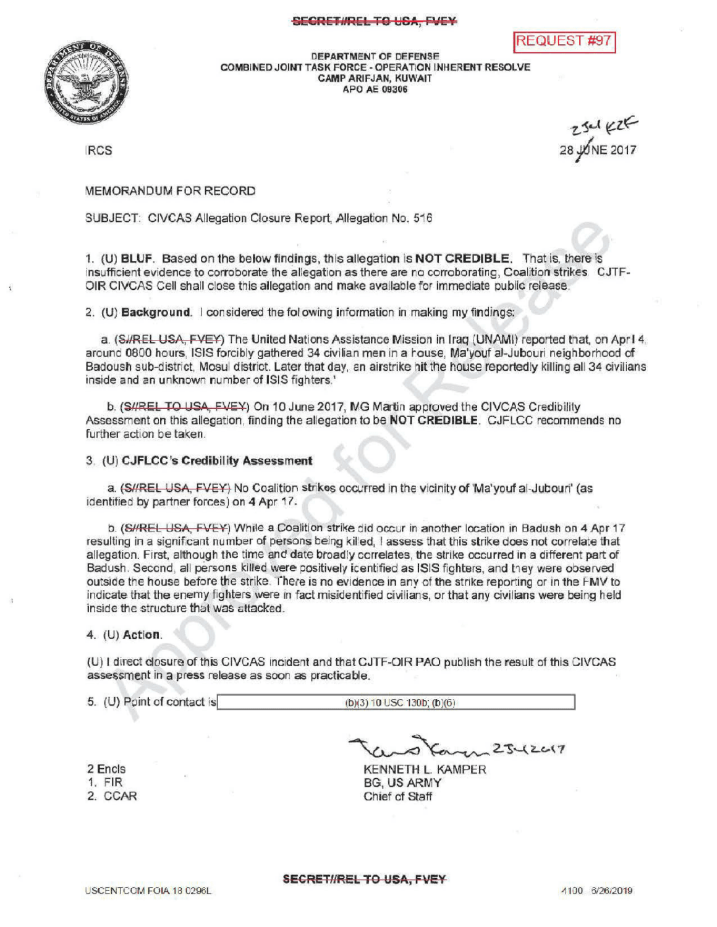## SECRET#REL TO USA, FVEY



DEPARTMENT OF DEFENSE COMBINEDJOINT TASK FORCE- OPERATION INHERENT RESOLVE CAMPARIFJAN, KUWAIT APO AE09306

**RCS** 

2301 KZE

REQUEST #9

MEMORANDUM FOR RECORD

SUBJECT: CIVCAS Allegation Closure Report, Allegation No. 516

1. (U) BLUF. Based on the below findings, this allegation is NOT CREDIBLE. That is, there is insufficient evidence to corroborate the allegation as there are no corroborating, Coalition strikes. CJTF-OIR CIVCAS Cell shall close this allegation and make available for immediate public release

2.  $(U)$  Background.  $\Box$  considered the following information in making my findings:

a. (SI/REL USA, FVEY) The United Nations Assistance Mission in Iraq (UNAMI) reported that, on April 4. around 0800 hours , ISIS forcibly gathered 34 civilian men in a house Ma'youf al- Jubouri neighborhood of Badoush sub-district, Mosul district. Later that day, an airstrike hit the house reportedly killing all 34 civilians inside and an unknown number of ISIS fighters.

b. (S/REL TO USA, FVEY) On 10 June 2017, MG Martin approved the CIVCAS Credibility Assessment on this allegation, finding the allegation to be NOT CREDIBLE. CJFLCC recommends no further action be taken.

## 3. (U) CJFLCC's Credibility Assessment

a. (S//REL USA, FVEY) No Coalition strikes occurred in the vicinity of 'Ma'youf al-Jubouri' (as identified by partner forces) on 4 Apr 17.

b. (S//REL USA, FVEY) While a Coalition strike did occur in another location in Badush on 4 Apr 17 resulting in a significant number of persons being killed, I assess that this strike does not correlate that allegation. First, although the time and date broadly correlates, the strike occurred in a different part of Badush. Second, all persons killed were positively identified as ISIS fighters, and they were observed outside the house before the strike. There is no evidence in any of the strike reporting or in the FMV to indicate that the enemy fighters were in fact misidentified civilians, or that any civilians were being held inside the structure that was attacked.

## 4. (U) Action

(U) I direct closure ofthis CIVCAS incident and that CJTF-OIR publish the result of this CIVCAS assessment in a press release as soon as practicable.

5. (U) Point of contact is (b)(3) 10 USC 130b; (b)(6)

2 Encls 1. FIR

2. CCAR

 $25 - (2017)$ 

KENNETH L. KAMPER **BG, US ARMY** Chief of Staff

SECRET//REL TO USA, FVEY